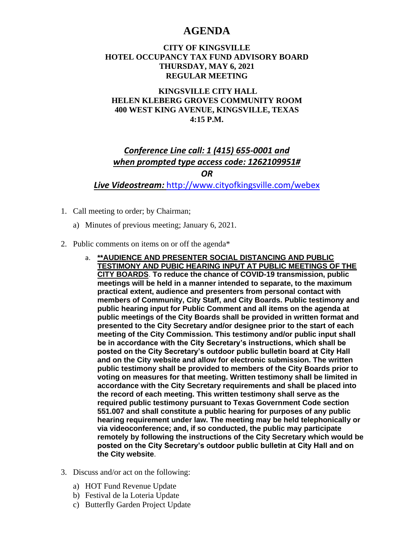# **AGENDA**

### **CITY OF KINGSVILLE HOTEL OCCUPANCY TAX FUND ADVISORY BOARD THURSDAY, MAY 6, 2021 REGULAR MEETING**

### **KINGSVILLE CITY HALL HELEN KLEBERG GROVES COMMUNITY ROOM 400 WEST KING AVENUE, KINGSVILLE, TEXAS 4:15 P.M.**

## *Conference Line call: 1 (415) 655-0001 and when prompted type access code: 1262109951# OR*

*Live Videostream:* <http://www.cityofkingsville.com/webex>

- 1. Call meeting to order; by Chairman;
	- a) Minutes of previous meeting; January 6, 2021.
- 2. Public comments on items on or off the agenda\*
	- a. **\*\*AUDIENCE AND PRESENTER SOCIAL DISTANCING AND PUBLIC TESTIMONY AND PUBIC HEARING INPUT AT PUBLIC MEETINGS OF THE CITY BOARDS**. **To reduce the chance of COVID-19 transmission, public meetings will be held in a manner intended to separate, to the maximum practical extent, audience and presenters from personal contact with members of Community, City Staff, and City Boards. Public testimony and public hearing input for Public Comment and all items on the agenda at public meetings of the City Boards shall be provided in written format and presented to the City Secretary and/or designee prior to the start of each meeting of the City Commission. This testimony and/or public input shall be in accordance with the City Secretary's instructions, which shall be posted on the City Secretary's outdoor public bulletin board at City Hall and on the City website and allow for electronic submission. The written public testimony shall be provided to members of the City Boards prior to voting on measures for that meeting. Written testimony shall be limited in accordance with the City Secretary requirements and shall be placed into the record of each meeting. This written testimony shall serve as the required public testimony pursuant to Texas Government Code section 551.007 and shall constitute a public hearing for purposes of any public hearing requirement under law. The meeting may be held telephonically or via videoconference; and, if so conducted, the public may participate remotely by following the instructions of the City Secretary which would be posted on the City Secretary's outdoor public bulletin at City Hall and on the City website**.
- 3. Discuss and/or act on the following:
	- a) HOT Fund Revenue Update
	- b) Festival de la Loteria Update
	- c) Butterfly Garden Project Update